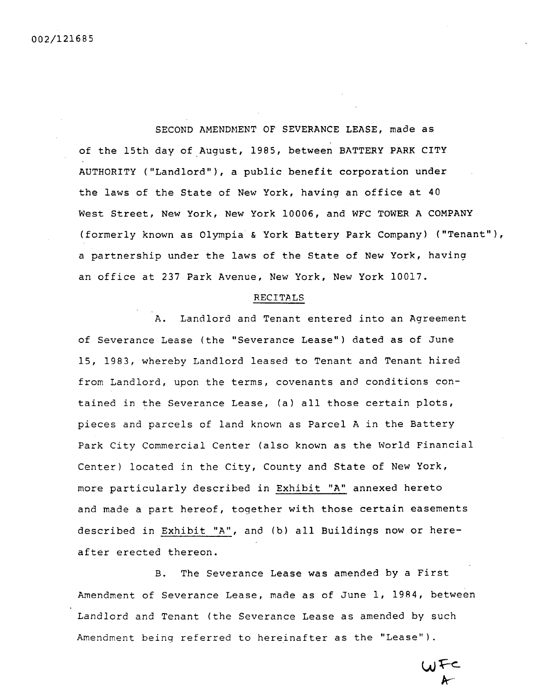SECOND AMENDMENT OF SEVERANCE LEASE, made as of the 15th day of August, 1985, between BATTERY PARK CITY AUTHORITY ("Landlord"), a public benefit corporation under the laws of the State of New York, having an office at 40 West Street, New York, New York 10006, and WFC TOWER A COMPANY (formerly known as Olympia& York Battery Park Company) ("Tenant"), a partnership under the laws of the State of New York, having an office at 237 Park Avenue, New York, New York 10017.

#### RECITALS

A. Landlord and Tenant entered into an Agreement of Severance Lease (the "Severance Lease") dated as of June 15, 1983, whereby Landlord leased to Tenant and Tenant hired from Landlord, upon the terms, covenants and conditions contained in the Severance Lease, (a) all those certain plots, pieces and parcels of land known as Parcel A in the Battery Park City Commercial Center (also known as the World Financial Center) located in the City, County and State of New York, more particularly described in Exhibit "A" annexed hereto and made a part hereof, together with those certain easements described in Exhibit "A", and (b) all Buildings now or hereafter erected thereon.

B. The Severance Lease was amended by a First Amendment of Severance Lease, made as of June 1, 1984, between Landlord and Tenant (the Severance Lease as amended by such Amendment being referred to hereinafter as the "Lease").

 $\boldsymbol{\kappa}$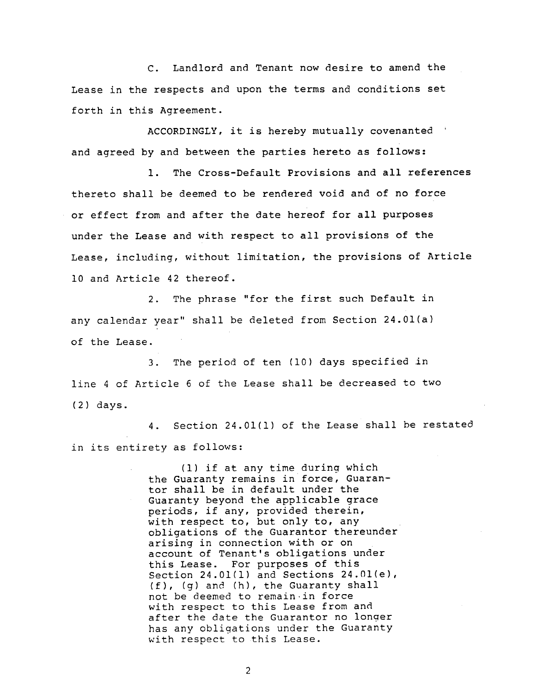C. Landlord and Tenant now desire to amend the Lease in the respects and upon the terms and conditions set forth in this Agreement.

ACCORDINGLY, it is hereby mutually covenanted and agreed by and between the parties hereto as follows:

i. The Cross-Default Provisions and all references thereto shall be deemed to be rendered void and of no force or effect from and after the date hereof for all purposes under the Lease and with respect to all provisions of the Lease, including, without limitation, the provisions of Article i0 and Article 42 thereof.

2. The phrase "for the first such Default in any calendar year" shall be deleted from Section 24.01(a) of the Lease.

3. The period of ten (10) days specified in line 4 of Article 6 of the Lease shall be decreased to two (2) days.

4. Section 24.01(1) of the Lease shall be restated in its entirety as follows:

> (i) if at any time during which the Guaranty remains in force, Guarantor shall be in default under the Guaranty beyond the applicable grace periods, if any, provided therein, with respect to, but only to, any obligations of the Guarantor thereunder arising in connection with or on account of Tenant's obligations under this Lease. For purposes of this Section 24.01(1) and Sections 24.01(e),  $(f)$ ,  $(g)$  and  $(h)$ , the Guaranty shall not be deemed to remain in force with respect to this Lease from and after the date the Guarantor no longer has any obligations under the Guaranty with respect to this Lease.

> > $\overline{2}$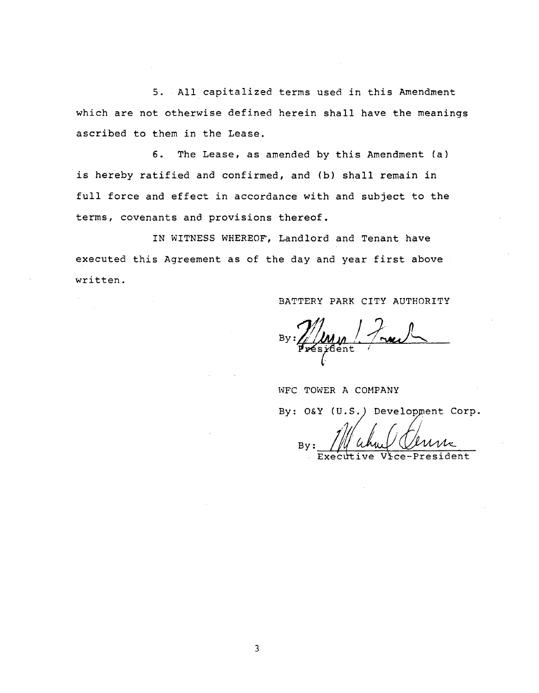5. All capitalized terms used in this Amendment which are not otherwise defined herein shall have the meanings ascribed to them in the Lease.

6. The Lease, as amended by this Amendment (a) is hereby ratified and confirmed, and (b) shall remain in full force and effect in accordance with and subject to the terms, covenants and provisions thereof.

IN WITNESS WHEREOF, Landlord and Tenant have executed this Agreement as of the day and year first above written.

BATTERY PARK CITY AUTHORITY

WFC TOWER A COMPANY

By: O&Y (U.S.) Development Corp.

 $\mathcal{L}$  (u.s.  $\mathcal{L}$ ) By Executive Vice-President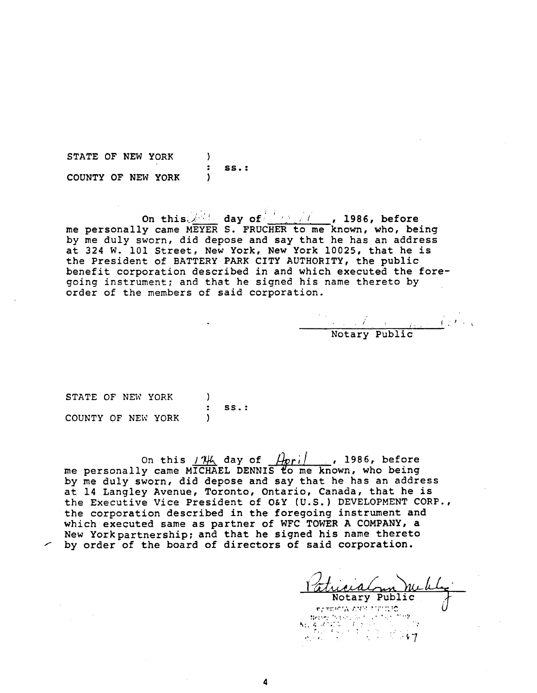STATE **OF** N**E**W **YO**RK ) • SS•: COUNTY OF NEW YORK )

On **t**h**is.**i .**'** d**ay** o**f**/L **,'**/ \_! /**,** , **1986**, **bef**o**re** me personally came MEYER S. FRUCH**E**R to me known, who, being by me duly sworn, did depose and say that he has an address at 324 W. i01 Street, New York, New York 10025, that he is the President of BATT**E**RY PARK CITY AUTHORITY, the public benefit corporation described in and which executed the foregoing instrument; and that he signed his name thereto by order of the members of said corporation.

• p / ! /. , **•** Notary Publ

STATE OF NEW YORK ) : SS.: COUNTY OF NEW YORK )

On this  $1\frac{1}{4}$  day of  $\frac{1}{2}$  , 1986, before me personally came MICHAEL DENNIS to me known, who being by me duly sworn, did depose and say that he has an address at 14 Langley Avenue, **T**oronto, Ontario, Canada, that he is the Executive Vice President of O&Y (U.S.) DEVELOPMENT CORP., the corporation described in the foregoing instrument and which executed same as partner of WFC TOWER A COM**P**ANY, a New Yorkpartnership; and that he signed his name thereto by order of the board of directors of said corporation.

Notary Public , the respectively denoted by  $\mathcal{P}_\mathcal{X}$  . The state  $\mathcal{P}_\mathcal{X}$  $\frac{1}{2}$  ,  $\frac{1}{2}$  ,  $\frac{1}{2}$  ,  $\frac{1}{2}$  ,  $\frac{1}{2}$  ,  $\frac{1}{2}$  ,  $\frac{1}{2}$  ,  $\frac{1}{2}$  ,  $\frac{1}{2}$  ,  $\frac{1}{2}$  ,  $\frac{1}{2}$  ,  $\frac{1}{2}$ 

4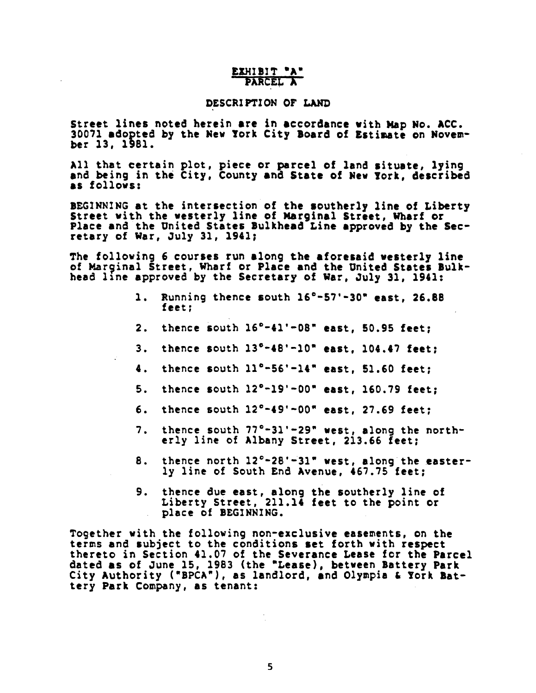# EXHIBIT "A" PARCEL A

# DESCRIPTION OF LAND

Street lines noted herein are in accordance with Map No. ACC. 30071 adopted by the New York City Board of Estimate on November 13, 1981.

All that certain plot, piece or parcel of land situate, lying and being in the City, County and State of New York, described as follows:

BEGINNING at the intersection of the southerly line of Liberty<br>Street with the westerly line of Marginal Street, Wharf or<br>Place and the United States Bulkhead Line approved by the Secretary of War, July 31, 1941;

The following 6 courses run along the aforesaid westerly line of Marginal Street, Wharf or Place and the United States Bulkhead line approved by the Secretary of War, July 31, 1941:

- Running thence south 16°-57'-30" east, 26.88  $\mathbf{1}$ . feet:
- $2.$ thence south  $16^{\circ} - 41' - 08''$  east, 50.95 feet;
- $3.$ thence south  $13^{\circ} - 48' - 10^{\circ}$  east. 104.47 feet:
- $4.$ thence south  $11^{\circ}-56^{\circ}-14^{\circ}$  east. 51.60 feet:
- $5.$ thence south  $12^{\circ}-19'-00^{\circ}$  east, 160.79 feet;
- thence south  $12^{\circ} 49' 00''$  east. 27.69 feet: б.
- thence south 77°-31'-29" west, along the north- $7.$ erly line of Albany Street, 213.66 feet;
- thence north 12°-28'-31" west, along the easter-8. ly line of South End Avenue, 467.75 feet:
- thence due east, along the southerly line of 9. Liberty Street, 211.14 feet to the point or place of BEGINNING.

Together with the following non-exclusive easements, on the terms and subject to the conditions set forth with respect thereto in Section 41.07 of the Severance Lease for the Parcel<br>dated as of June 15, 1983 (the "Lease), between Battery Park City Authority ("BPCA"), as landlord, and Olympia & York Battery Park Company, as tenant: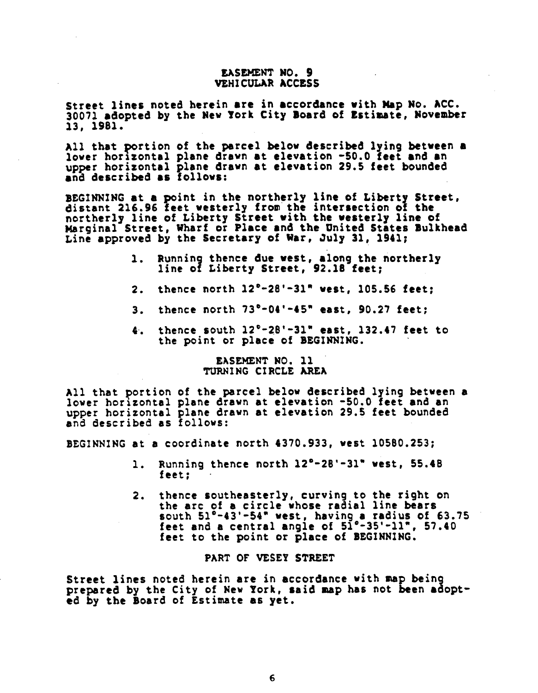### **EASEM**EN**T** N**O. 9 V**EH**ICULA**R A**CCESS**

**S**tr**ee**t **l**i**ne**s **no**t**e**d h**ere**i**n** a**re** i**n** acc**o**rd**ance w**i**th Map N**o**.** A**CC.** 3007**1** ad**op**t**ed b**y **t**h**e New York Cit**y B**o**a**rd of Estinate, November** 13, 1981.

A**ll th**at **portio***n* **of the par***c***el below** d**e**s**cri**bed **ly**ing **be**tw**ee**n **a lo**v**er horizontal plane dr**awn **at elevation -**5**0.0** f**eet an**d **a**n u**p**p**er horizontal plane draw***n* a**t elevation 29.**5 **feet bo***u***nded and** desc**ri**b**e**d **a**s f**ollo**w**s:**

BE**GI**NN**ING at a po**in**t** i**n the nort**h**erly line o**f **Li**be**rt**\_ **Street,** dis**t**an**t 216.9**6 f**eet** w**e**s**terl**y **fro**\_ **the an**t**er**s**e***c***t**;**on** o! **the northerly line o**f **Liberty** St**reet** w**ith the we**s**terly line o**f **Ksr**g**inal S**t**ree**t**, Wharf** o**r Place and the United S**ta**te**s **Bulkhead Line a**pp**rove**d b**y the Secretary o**f Wa**r, July 31, 1941;**

- **1.** Runni**n**g **then***c***e** d**ue vest, alon**g **the northerly line o**f **Liberty Street, 92.18** f**eet;**
- 2**. then***c***e north 12**°**-28'-**3**1" we**s**t, 10**5**.**5**6** f**eet**;
- **3. then***c***e nort**h 7**3**°**-04'**-**4**5**" east, 90.27** f**eet**;
- **4. then**c**e south** 1**2**©**-28'-3**1**" east, 132.4**7 **feet to** the p**o**int **or place o**f B**EGIN**N**I**N**G.**

### E\_**SE**\_**E**NT **NO.** ll TURNIN**G CIRCLE AR**E**A**

All that po**rtion of** t**he parcel** be**low** d**escribe**d **ly**i**ng** be**tween** 8 **lower horizontal plane draw**n at **elevatio**n **-50.0** feet and an *u***pper h**o**riz**o**ntal pla***n***e drawn** a**t elevatio***n* **29.**5 **feet bo***u***n**d**e**d **a**nd d**es**c**r**ib**e**d **as foll**ow**s:**

BEGINNING at a **co**o**r**di**n**a**te north 437**0**.933, west 10580.253;**

- I**.** Running **thence n**o**rth 12°-28'-31" west, 55.48** feet;
- 2. thence so*u***the**a**sterly, curvin**g **t**o **the r**i**gh**t **on** the arc of a **circle wh**o**se ra**\_i**a**l **line** bea**r**s **so**u**th 5**2©**-43'-54" west,** ha**vin**g **8 radius o**f **63.75** feet and **a** central ang**le** of 52°-35'-11 ", 57.40 feet **t**o **the point or place of** B**EGIN**N**ING.**

#### PAR**T** O**F** VESEY **STR**E**ET**

Street lines no**ted** h**erei**n **are in acc?rdan**c**e wit**h m**ap bein**g p**repare**d **by t**h**e C**i**ty of** N**e**w Y**or**k**,** sat**d** m**ap h**as **not been adopted by** t**he Board of** E**s**tim**ate a**s **yet.**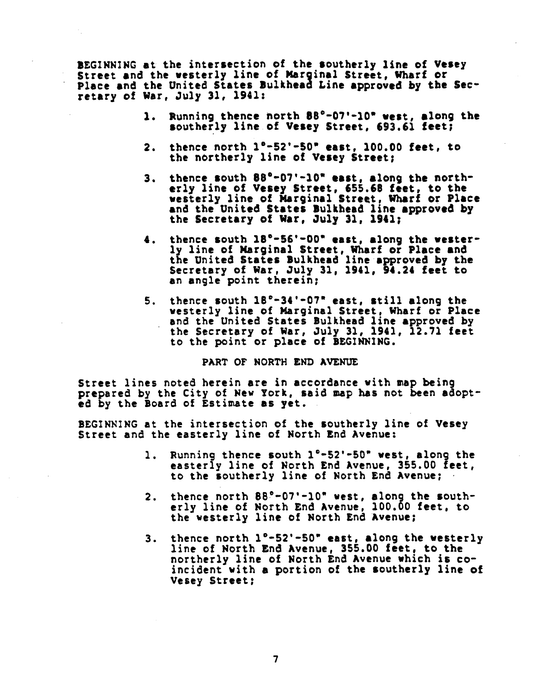B**E**G**I**NN**I**NG **a**t **the i**nt**erse**cti**o**n **of the southerly line of Vese**y **Street** and **the we**s**terly li**n**e** of **Mar**gin**al Street,** W**h**a**r**f **or Place an**d **the U**ni**te**d **States Bulkhead Lane** app**roved b**y **the Se***c***retary** of Wa**r,** Jul**y** 3**1, 194**1**:**

- **1. R**unning **the**n**ce nort**h 8**8**°**-07'-10" we**s**t,** a**l**ong **the s**out**herly li**n**e** of **Ve**s**e**y **Street***,* 6**9**3**.61** f**eet;**
- **2. the**n*c***e nor**th **1**"**-52'-**S**0" east, 100.00** f**eet, to the** n**ortherly line o**f **Vesey Street**|
- **3. thence** s**o**ut**h 88°-07'-10** w **e**as**t,** a**lon**g **the northerly li**n**e** o**f Ve**s**ey Street,** 655**.**6**8 feet, to the** w**e**st**erly line of l**U**rginal S**t**reet, Wharf or Pl**a*c***e** and **t**h**e U**n**ited States Bulkhead line** a**ppr**o**ved by t**h**e Se***c***retary o**f **W**a**r,** J**ul**y **31, 1941;**
- 4. th**e**nc**e** s**o**u**t**h **18**\_**-5**6**'-00" east, al**o**ng the** w**e**s**terly** lin**e of N***a***rgan**a**l Street,** Wh**arf or Place** and **t**h**e** Uni**te**d **S**ta**te**s Bu**lk**h**e**ad **li**n**e** a**pproved by the Secretary o**f **war,** Ju**ly** 3**2, 1941, 94.24** f**ee**t t**o** an ang**le po**i**n**t **therein;**
- 5**. t**h**e**nc**e so**u**t**h **1**8°**-**3**4'-0***7***" east,** s**t**i**ll alon**g **the** w**esterly line o**f **Mar**gi**n**a**l Street, Whar**f **or Pla***c***e** an**d** th**e U**ni**te**d *S***tates** Bu**lk**h**e**ad l**i**n**e** a**p**p**rove**d **by t**h**e Se**c**re**ta**ry of W**a**r,** Ju**ly** 3**1, 294**1**, 12.71** f**eet to t**h**e p**oint **or place of** B**EGI**NN**ING.**

## **PART OF NORTH END AVENUE**

**S**t**reet li**n**es** no**te**d h**ere**i**n** a**re** i**n accordance with m**a**p be**i**n**g **prep**a**re**d **by** t**he C**it**y of** N**ew** Yo**rk, said** \_**p h**a**s** n**o**t **bee**n **ad**o**pted by** t**he B**o**ard** of E**s**ti**mate** a**s** y**et.**

BEGIN**NING** a**t** t**h**e in**tersec**ti**o**n **o**f **the s**o*u***therly li**n**e of Vese**y **S**t**ree**t and t**he e**a**s**t**er**l**y l**in**e of Nor**th End Av**e**nu**e:**

- i**. Runn**i**n**g **thence s**ou**th I**°**-52'-50**" **west, alo**ng **the** ea**sterly li**n**e** of **N**o**rth** End **Ave**n*u***e,** 355**.0**0 **feet***,* t**o** th**e s**ou**t**h**erl**y **l**in**e of** N**or**th **E**nd A**ven**u**e;**
- erly line of North End Avenue, 100.00 feet, to **the** w**es**t**erl**y **line o**f **North E**nd **A**v**e**n**ue;**
- **3. t**h**e**nc**e north l**°**-52'-**5**0" east, alo**ng **the** w**e**st**erly l**in**e of** No**r**t**h E**nd A**ve**n**ue,** 355**.**0**0 fee**t**,** t**o the** no**rtherly li**n**e o**f **N**o**rth** End **Ave**nu**e wh**i**ch i**s **co**in**c**i**de**nt wi**th** a **p**o**rtio**n **of the so***u***therly line o**f **Ve**s**e**y St**reet**;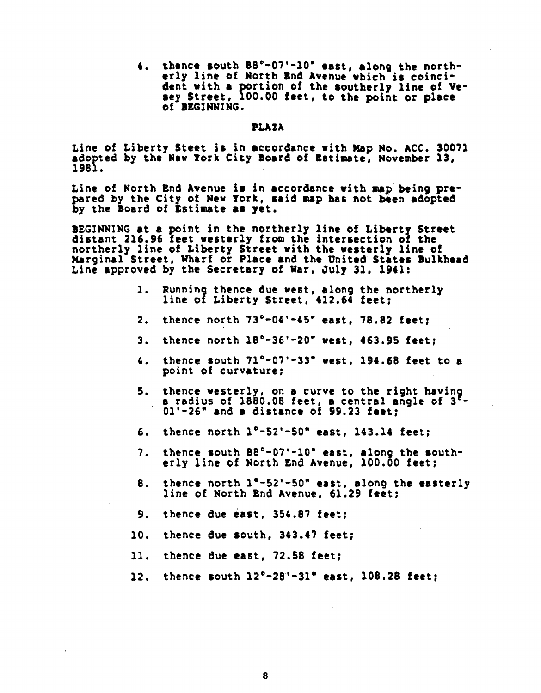4, thence south 88°-07'-10" east, along the northerly line of North End Avenue which is coincident with a portion of the southerly line of Vesey Street, 100.00 feet, to the point or place of BEGINNING.

# **PLAZA**

Line of Liberty Steet is in accordance with Map No. ACC. 30071 adopted by the New York City Board of Estimate, November 13, 1981.

Line of North End Avenue is in accordance with map being prepared by the City of New York, said map has not been adopted by the Board of Estimate as yet.

BEGINNING at a point in the northerly line of Liberty Street distant 216.96 feet westerly from the intersection of the northerly line of Liberty Street with the westerly line of<br>Marginal Street, Wharf or Place and the United States Bulkhead Line approved by the Secretary of War, July 31, 1941:

- Running thence due west, along the northerly  $\mathbf{1}$ . line of Liberty Street, 412.64 feet;
- $2.$ thence north 73°-04'-45" east, 78.82 feet;
- thence north  $18^{\circ} 36' 20^{\circ}$  west. 463.95 feet:  $3.$
- thence south 71°-07'-33" west. 194.68 feet to a  $4.$ point of curvature:
- thence westerly, on a curve to the right having 5. a radius of 1880.08 feet, a central angle of 3<sup>6</sup>-01'-26" and a distance of 99.23 feet:
- 6. thence north  $1^{\circ}-52^{\prime}-50^{\prime\prime}$  east. 143.14 feet:
- 7. thence south 88°-07'-10" east, along the southerly line of North End Avenue, 100.00 feet;
- thence north 1°-52'-50" east, along the easterly 8. line of North End Avenue. 61.29 feet:
- $9.$ thence due east, 354.87 feet;
- thence due south, 343.47 feet; 10.
- $11.$ thence due east. 72.58 feet;
- 12. thence south 12°-28'-31" east, 108.28 feet:

8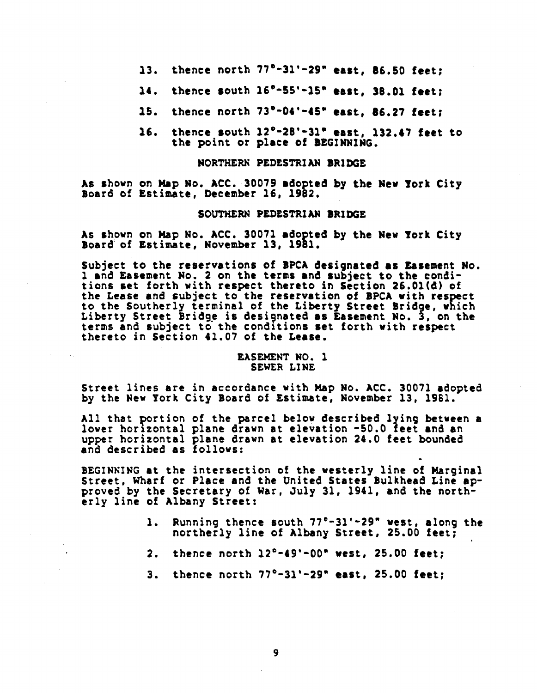- thence north  $77^{\circ}-31'-29''$  east, 86.50 feet; 13.
- thence south 16°-55'-15" east, 38.01 feet; 14.
- thence north 73°-04'-45" east, 86.27 feet;  $15.$
- thence south  $12^{\circ}$ -28'-31" east, 132.47 feet to 16. the point or place of BEGINNING.

# NORTHERN PEDESTRIAN BRIDGE

As shown on Map No. ACC. 30079 adopted by the New York City Board of Estimate, December 16, 1982.

#### SOUTHERN PEDESTRIAN BRIDGE

As shown on Map No. ACC. 30071 adopted by the New York City Board of Estimate, November 13, 1981.

Subject to the reservations of BPCA designated as Easement No. 1 and Easement No. 2 on the terms and subject to the conditions set forth with respect thereto in Section 26.01(d) of the Lease and subject to the reservation of BPCA with respect to the Southerly terminal of the Liberty Street Bridge, which Liberty Street Bridge is designated as Easement No. 3, on the terms and subject to the conditions set forth with respect thereto in Section 41.07 of the Lease.

# EASEMENT NO. 1 SEWER LINE

Street lines are in accordance with Map No. ACC. 30071 adopted by the New York City Board of Estimate, November 13, 1981.

All that portion of the parcel below described lying between a lower horizontal plane drawn at elevation -50.0 feet and an upper horizontal plane drawn at elevation 24.0 feet bounded<br>and described as follows:

BEGINNING at the intersection of the westerly line of Marginal Street, Wharf or Place and the United States Bulkhead Line approved by the Secretary of War, July 31, 1941, and the northerly line of Albany Street:

- Running thence south 77°-31'-29" west, along the  $1.$ northerly line of Albany Street, 25.00 feet;
- $2.$ thence north  $12^{\circ} - 49' - 00^{\circ}$  west, 25.00 feet;
- thence north  $77^{\circ}-31'-29^{\circ}$  east, 25.00 feet;  $3.$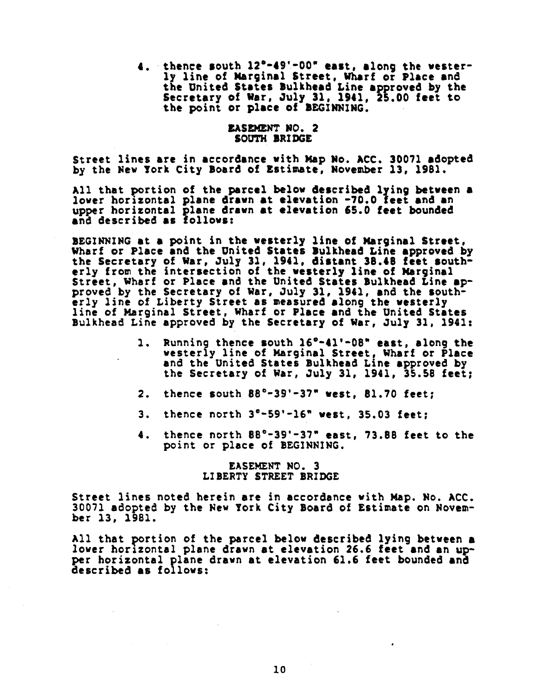4. thence south 12°-49'-00" east, along the wester-4**. . so**u**th 12**\_**-49'-00" east, alo**ng **t**h**e** w**este**r**l**y **1;**h**e** of Marg**;**n**al Street,** Wharf or Plac**e an**d **the** Unit**e**d **St**a**te**s Bu**lkhea**d **Line approved by the Secret**a**ry of** Wa**r,** Ju**l**y **31, 1941, 25.00 feet to the po**int **or** p**l**a**ce of B**E**GINNING.**

#### E**AS**E**M**EN**T NO. 2 SO**U**T**H **BRIDG**E

**S**t**reet** l**i**n**es a**r**e i**n a**c**c**or**danc**e vi**t**hMap No.** A**C**e**. 300***7*1 **a**d**o**p**te**d **b**y **the** N**ew** T**or**k **Ci**ty **Board of Es**ti**ma**t**e,** N**ovember 13, 1981.**

All that portion **of the parcel** *b***elow de**s**cribe**d **lying** be**tween a lo**w**er horizontal plane dr**aw**n** at **elevation -70.0 feet** and a**n upper** h**or**i**zont**a**l plane drawn at elevation** 6**5.0 feet bo**u**nded** a**nd descra**bed a**s follo**w**s:**

B**ZGI**\_**I**N**G** at **a** Poi**nt in the we**s**terly line** o**f Nar**g**inal Street, Wharf or Place a**n**d the United States** Bu**lkhea**d **L**\_**ne ap**p**roved** b**y the Secretary ?f** W**ar,** Ju**l**y 31**, 1941,** d\_s**t**a**nt** 3**8.48 feet southerly fro**\_ t**he an**t**er**s**ect**l**o**n o**f the.**w**e**s**terly line** o**f Mar**g**inal Stree**t**,** W**h**a**rf or Place** and **the** Un;**te**d **St**a**te**s **Bulkhead Line** a**pprove**d b**y the Secretary of War***,* **July** 3**1, 1941,** and **the** s**o**u**therl**y lin**e of L**i*b***ert**y **Street** a**s** m**e**a**sure**d a**lo**ng **the** w**e**st**erly line of Marginal Street,** W**h**a**rf** o**r Place** an**d** t**he Un**i**ted States** Bu**lkhea**d **L**in**e approved** b**y the Secretary** o**f** Wa**r***,* **July 31, 1941:**

- 1**. Ru**nning **then**c**e south 1**6**0**-**41'**-**0**8**" east, along the** westerly line of Marginal Street, Wharf o**r Place** and **t**h**e** Uni**te**d **States B**u**lk**h**ead Line** app**rove**d b**y t**h**e Se***c***retary o**f Wa**r,** Ju**l**y **31**, 1**941**, **35.58** f**eet;**
- 2. thence s**o**ut**h** 8**8**°**-39'-37"** w**es**t, **81.70 feet;**
- **3. the**n**ce north 3**°**-59'-16" west, 35.03 feet;**
- **4.** t**he**n**ce north** 8**80-39'-37" east, 73.88 feet to the** poi**n**t **or** place of BE**GINNING.**

# E**A**SE**MENT NO. 3 LIBERTY STREET BR**I**DGE**

St**reet l**i**nes note**d **herein are** i**n** accordance with Map. N**o. ACC. 3007**1 ad**opte**d **by** t**he** N**e**w **York City** B**o**a**r**d **o**f E**st**im**ate on Nove**m**ber** 1**3, 198**1**.**

All that portion of the parcel below described lying between a lower horizontal plane drawn at elevation 26.6 feet and an up**lower hor;zon**ta**l plane drawn at elevation 26.6 feet and** a**n** *u***pper horizontal** p**la***n***e draw**n **at elevation 61.6 feet bounded** a**n**d **describe**d **as follows:**